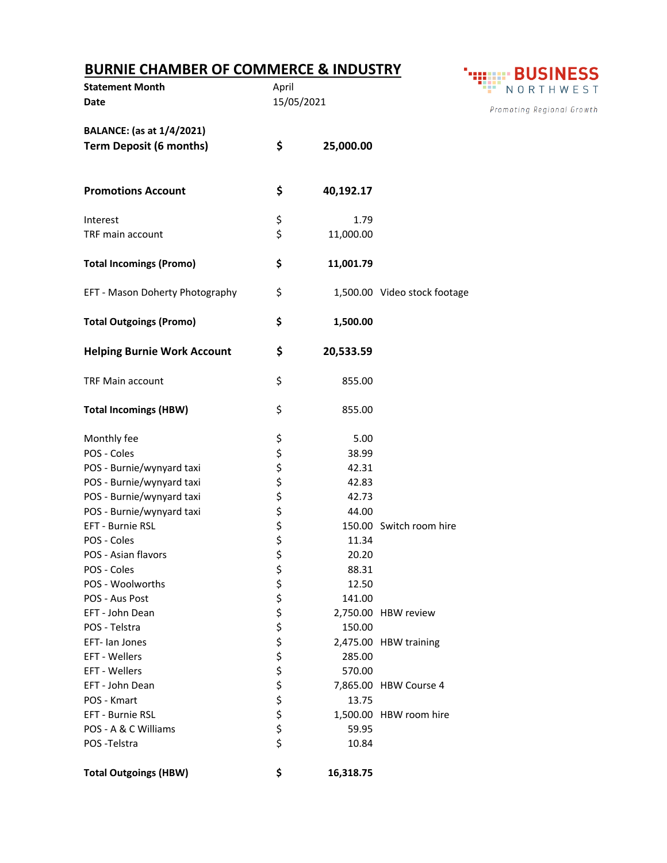## **BURNIE CHAMBER OF COMMERCE & INDUSTRY**

| <b>BURNIE CHAMBER OF COMMERCE &amp; INDUSTRY</b><br><b>Statement Month</b> | April      |           |                              | <b>BUSINESS</b><br>NORTHWEST |  |
|----------------------------------------------------------------------------|------------|-----------|------------------------------|------------------------------|--|
| <b>Date</b>                                                                | 15/05/2021 |           | Promoting Regional Growth    |                              |  |
|                                                                            |            |           |                              |                              |  |
| <b>BALANCE:</b> (as at 1/4/2021)                                           |            |           |                              |                              |  |
| <b>Term Deposit (6 months)</b>                                             | \$         | 25,000.00 |                              |                              |  |
|                                                                            |            |           |                              |                              |  |
| <b>Promotions Account</b>                                                  | \$         | 40,192.17 |                              |                              |  |
| Interest                                                                   | \$         | 1.79      |                              |                              |  |
| TRF main account                                                           | \$         | 11,000.00 |                              |                              |  |
|                                                                            |            |           |                              |                              |  |
| <b>Total Incomings (Promo)</b>                                             | \$         | 11,001.79 |                              |                              |  |
| EFT - Mason Doherty Photography                                            | \$         |           | 1,500.00 Video stock footage |                              |  |
| <b>Total Outgoings (Promo)</b>                                             | \$         | 1,500.00  |                              |                              |  |
| <b>Helping Burnie Work Account</b>                                         | \$         | 20,533.59 |                              |                              |  |
| <b>TRF Main account</b>                                                    | \$         | 855.00    |                              |                              |  |
| <b>Total Incomings (HBW)</b>                                               | \$         | 855.00    |                              |                              |  |
| Monthly fee                                                                | \$         | 5.00      |                              |                              |  |
| POS - Coles                                                                | \$         | 38.99     |                              |                              |  |
| POS - Burnie/wynyard taxi                                                  | \$         | 42.31     |                              |                              |  |
| POS - Burnie/wynyard taxi                                                  |            | 42.83     |                              |                              |  |
| POS - Burnie/wynyard taxi                                                  | ちゃち        | 42.73     |                              |                              |  |
| POS - Burnie/wynyard taxi                                                  |            | 44.00     |                              |                              |  |
| EFT - Burnie RSL                                                           |            |           | 150.00 Switch room hire      |                              |  |
| POS - Coles                                                                | \$         | 11.34     |                              |                              |  |
| POS - Asian flavors                                                        | Ş          | 20.20     |                              |                              |  |
| POS - Coles                                                                | \$         | 88.31     |                              |                              |  |
| POS - Woolworths                                                           | \$         | 12.50     |                              |                              |  |
| POS - Aus Post                                                             | \$         | 141.00    |                              |                              |  |
| EFT - John Dean                                                            | \$         |           | 2,750.00 HBW review          |                              |  |
| POS - Telstra                                                              | \$\$\$\$   | 150.00    |                              |                              |  |
| EFT- Ian Jones                                                             |            |           | 2,475.00 HBW training        |                              |  |
| EFT - Wellers                                                              |            | 285.00    |                              |                              |  |
| EFT - Wellers                                                              |            | 570.00    |                              |                              |  |
| EFT - John Dean                                                            |            |           | 7,865.00 HBW Course 4        |                              |  |
| POS - Kmart                                                                | \$\$\$     | 13.75     |                              |                              |  |
| EFT - Burnie RSL                                                           |            |           | 1,500.00 HBW room hire       |                              |  |
| POS - A & C Williams                                                       | \$         | 59.95     |                              |                              |  |
| POS-Telstra                                                                | \$         | 10.84     |                              |                              |  |
| <b>Total Outgoings (HBW)</b>                                               | \$         | 16,318.75 |                              |                              |  |